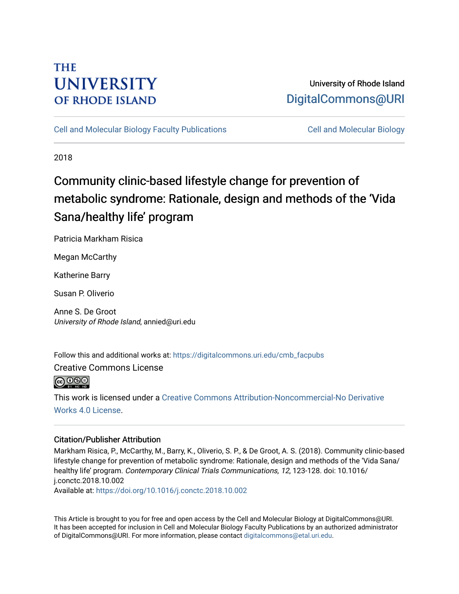## **THE UNIVERSITY OF RHODE ISLAND**

## University of Rhode Island [DigitalCommons@URI](https://digitalcommons.uri.edu/)

[Cell and Molecular Biology Faculty Publications](https://digitalcommons.uri.edu/cmb_facpubs) [Cell and Molecular Biology](https://digitalcommons.uri.edu/cmb) 

2018

# Community clinic-based lifestyle change for prevention of metabolic syndrome: Rationale, design and methods of the 'Vida Sana/healthy life' program

Patricia Markham Risica

Megan McCarthy

Katherine Barry

Susan P. Oliverio

Anne S. De Groot University of Rhode Island, annied@uri.edu

Follow this and additional works at: [https://digitalcommons.uri.edu/cmb\\_facpubs](https://digitalcommons.uri.edu/cmb_facpubs?utm_source=digitalcommons.uri.edu%2Fcmb_facpubs%2F131&utm_medium=PDF&utm_campaign=PDFCoverPages) 

Creative Commons License

This work is licensed under a [Creative Commons Attribution-Noncommercial-No Derivative](https://creativecommons.org/licenses/by-nc-nd/4.0/)  [Works 4.0 License](https://creativecommons.org/licenses/by-nc-nd/4.0/).

### Citation/Publisher Attribution

Markham Risica, P., McCarthy, M., Barry, K., Oliverio, S. P., & De Groot, A. S. (2018). Community clinic-based lifestyle change for prevention of metabolic syndrome: Rationale, design and methods of the 'Vida Sana/ healthy life' program. Contemporary Clinical Trials Communications, 12, 123-128. doi: 10.1016/ j.conctc.2018.10.002

Available at:<https://doi.org/10.1016/j.conctc.2018.10.002>

This Article is brought to you for free and open access by the Cell and Molecular Biology at DigitalCommons@URI. It has been accepted for inclusion in Cell and Molecular Biology Faculty Publications by an authorized administrator of DigitalCommons@URI. For more information, please contact [digitalcommons@etal.uri.edu](mailto:digitalcommons@etal.uri.edu).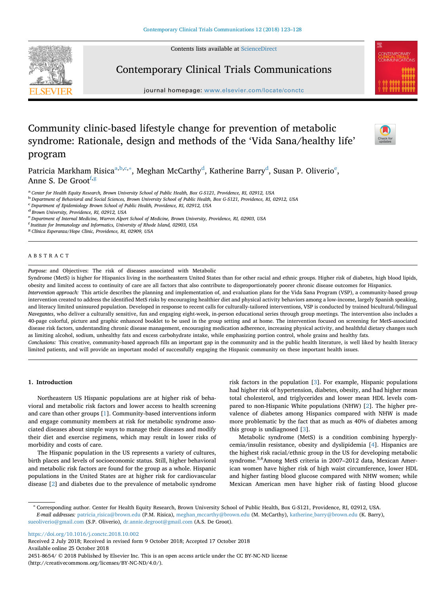Contents lists available at [ScienceDirect](http://www.sciencedirect.com/science/journal/24518654)



### Contemporary Clinical Trials Communications

journal homepage: [www.elsevier.com/locate/conctc](https://www.elsevier.com/locate/conctc)



## Community clinic-based lifestyle change for prevention of metabolic syndrome: Rationale, design and methods of the 'Vida Sana/healthy life' program



P[a](#page-1-0)tricia Markham Risica<sup>a[,b,](#page-1-1)[c,](#page-1-2)</sup>\*, Meghan McCarthy<sup>[d](#page-1-4)</sup>, Kath[e](#page-1-5)rine Barry<sup>d</sup>, Susan P. Oliverio<sup>e</sup>, Anne S. De Groot<sup>[f,](#page-1-6)[g](#page-1-7)</sup>

<span id="page-1-0"></span><sup>a</sup> *Center for Health Equity Research, Brown University School of Public Health, Box G-S121, Providence, RI, 02912, USA*

<span id="page-1-1"></span><sup>b</sup>*Department of Behavioral and Social Sciences, Brown University School of Public Health, Box G-S121, Providence, RI, 02912, USA*

<span id="page-1-2"></span>c *Department of Epidemiology Brown School of Public Health, Providence, RI, 02912, USA*

<span id="page-1-5"></span><sup>e</sup>*Department of Internal Medicine, Warren Alpert School of Medicine, Brown University, Providence, RI, 02903, USA*

<span id="page-1-6"></span>f *Institute for Immunology and Informatics, University of Rhode Island, 02903, USA*

<span id="page-1-7"></span><sup>g</sup> *Clínica Esperanza/Hope Clinic, Providence, RI, 02909, USA*

#### ABSTRACT

*Purpose:* and Objectives: The risk of diseases associated with Metabolic

Syndrome (MetS) is higher for Hispanics living in the northeastern United States than for other racial and ethnic groups. Higher risk of diabetes, high blood lipids, obesity and limited access to continuity of care are all factors that also contribute to disproportionately poorer chronic disease outcomes for Hispanics.

*Intervention approach:* This article describes the planning and implementation of, and evaluation plans for the Vida Sana Program (VSP), a community-based group intervention created to address the identified MetS risks by encouraging healthier diet and physical activity behaviors among a low-income, largely Spanish speaking, and literacy limited uninsured population. Developed in response to recent calls for culturally-tailored interventions, VSP is conducted by trained bicultural/bilingual *Navegantes*, who deliver a culturally sensitive, fun and engaging eight-week, in-person educational series through group meetings. The intervention also includes a 40-page colorful, picture and graphic enhanced booklet to be used in the group setting and at home. The intervention focused on screening for MetS-associated disease risk factors, understanding chronic disease management, encouraging medication adherence, increasing physical activity, and healthful dietary changes such as limiting alcohol, sodium, unhealthy fats and excess carbohydrate intake, while emphasizing portion control, whole grains and healthy fats.

*Conclusions:* This creative, community-based approach fills an important gap in the community and in the public health literature, is well liked by health literacy limited patients, and will provide an important model of successfully engaging the Hispanic community on these important health issues.

#### **1. Introduction**

Northeastern US Hispanic populations are at higher risk of behavioral and metabolic risk factors and lower access to health screening and care than other groups [[1](#page-6-0)]. Community-based interventions inform and engage community members at risk for metabolic syndrome associated diseases about simple ways to manage their diseases and modify their diet and exercise regimens, which may result in lower risks of morbidity and costs of care.

The Hispanic population in the US represents a variety of cultures, birth places and levels of socioeconomic status. Still, higher behavioral and metabolic risk factors are found for the group as a whole. Hispanic populations in the United States are at higher risk for cardiovascular disease [[2](#page-6-1)] and diabetes due to the prevalence of metabolic syndrome risk factors in the population [\[3\]](#page-6-2). For example, Hispanic populations had higher risk of hypertension, diabetes, obesity, and had higher mean total cholesterol, and triglycerides and lower mean HDL levels compared to non-Hispanic White populations (NHW) [[2](#page-6-1)]. The higher prevalence of diabetes among Hispanics compared with NHW is made more problematic by the fact that as much as 40% of diabetes among this group is undiagnosed [\[3\]](#page-6-2).

Metabolic syndrome (MetS) is a condition combining hyperglycemia/insulin resistance, obesity and dyslipidemia [[4](#page-6-3)]. Hispanics are the highest risk racial/ethnic group in the US for developing metabolic syndrome.5,6Among MetS criteria in 2007–2012 data, Mexican American women have higher risk of high waist circumference, lower HDL and higher fasting blood glucose compared with NHW women; while Mexican American men have higher risk of fasting blood glucose

<https://doi.org/10.1016/j.conctc.2018.10.002>

Received 2 July 2018; Received in revised form 9 October 2018; Accepted 17 October 2018 Available online 25 October 2018 2451-8654/ © 2018 Published by Elsevier Inc. This is an open access article under the CC BY-NC-ND license (http://creativecommons.org/licenses/BY-NC-ND/4.0/).

<span id="page-1-4"></span><sup>d</sup> *Brown University, Providence, RI, 02912, USA*

<span id="page-1-3"></span><sup>∗</sup> Corresponding author. Center for Health Equity Research, Brown University School of Public Health, Box G-S121, Providence, RI, 02912, USA. *E-mail addresses:* [patricia\\_risica@brown.edu](mailto:patricia_risica@brown.edu) (P.M. Risica), [meghan\\_mccarthy@brown.edu](mailto:meghan_mccarthy@brown.edu) (M. McCarthy), [katherine\\_barry@brown.edu](mailto:katherine_barry@brown.edu) (K. Barry), [sueoliverio@gmail.com](mailto:sueoliverio@gmail.com) (S.P. Oliverio), [dr.annie.degroot@gmail.com](mailto:dr.annie.degroot@gmail.com) (A.S. De Groot).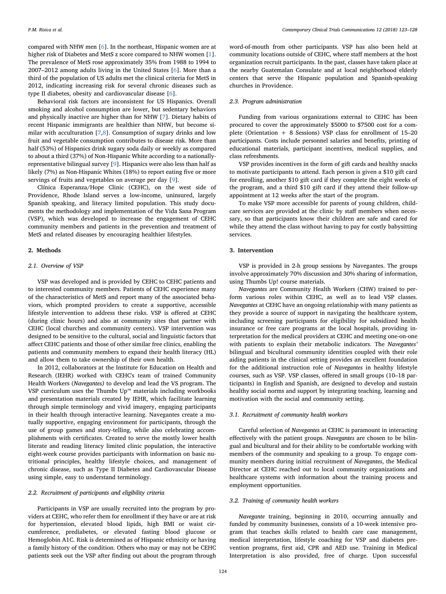compared with NHW men [\[6](#page-6-4)]. In the northeast, Hispanic women are at higher risk of Diabetes and MetS z score compared to NHW women [[1](#page-6-0)]. The prevalence of MetS rose approximately 35% from 1988 to 1994 to 2007–2012 among adults living in the United States [[6](#page-6-4)]. More than a third of the population of US adults met the clinical criteria for MetS in 2012, indicating increasing risk for several chronic diseases such as type II diabetes, obesity and cardiovascular disease [\[6\]](#page-6-4).

Behavioral risk factors are inconsistent for US Hispanics. Overall smoking and alcohol consumption are lower, but sedentary behaviors and physically inactive are higher than for NHW [[7](#page-6-5)]. Dietary habits of recent Hispanic immigrants are healthier than NHW, but become similar with acculturation [[7](#page-6-5)[,8\]](#page-6-6). Consumption of sugary drinks and low fruit and vegetable consumption contributes to disease risk. More than half (53%) of Hispanics drink sugary soda daily or weekly as compared to about a third (37%) of Non-Hispanic White according to a nationallyrepresentative bilingual survey [\[9\]](#page-6-7). Hispanics were also less than half as likely (7%) as Non-Hispanic Whites (18%) to report eating five or more servings of fruits and vegetables on average per day [[9](#page-6-7)].

Clínica Esperanza/Hope Clinic (CEHC), on the west side of Providence, Rhode Island serves a low-income, uninsured, largely Spanish speaking, and literacy limited population. This study documents the methodology and implementation of the Vida Sana Program (VSP), which was developed to increase the engagement of CEHC community members and patients in the prevention and treatment of MetS and related diseases by encouraging healthier lifestyles.

#### **2. Methods**

#### *2.1. Overview of VSP*

VSP was developed and is provided by CEHC to CEHC patients and to interested community members. Patients of CEHC experience many of the characteristics of MetS and report many of the associated behaviors, which prompted providers to create a supportive, accessible lifestyle intervention to address these risks. VSP is offered at CEHC (during clinic hours) and also at community sites that partner with CEHC (local churches and community centers). VSP intervention was designed to be sensitive to the cultural, social and linguistic factors that affect CEHC patients and those of other similar free clinics, enabling the patients and community members to expand their health literacy (HL) and allow them to take ownership of their own health.

In 2012, collaborators at the Institute for Education on Health and Research (IEHR) worked with CEHC's team of trained Community Health Workers (*Navegantes)* to develop and lead the VS program. The VSP curriculum uses the Thumbs Up™ materials including workbooks and presentation materials created by IEHR, which facilitate learning through simple terminology and vivid imagery, engaging participants in their health through interactive learning. Navegantes create a mutually supportive, engaging environment for participants, through the use of group games and story-telling, while also celebrating accomplishments with certificates. Created to serve the mostly lower health literate and reading literacy limited clinic population, the interactive eight-week course provides participants with information on basic nutritional principles, healthy lifestyle choices, and management of chronic disease, such as Type II Diabetes and Cardiovascular Disease using simple, easy to understand terminology.

#### *2.2. Recruitment of participants and eligibility criteria*

Participants in VSP are usually recruited into the program by providers at CEHC, who refer them for enrollment if they have or are at risk for hypertension, elevated blood lipids, high BMI or waist circumference, prediabetes, or elevated fasting blood glucose or Hemoglobin A1C. Risk is determined as of Hispanic ethnicity or having a family history of the condition. Others who may or may not be CEHC patients seek out the VSP after finding out about the program through

word-of-mouth from other participants. VSP has also been held at community locations outside of CEHC, where staff members at the host organization recruit participants. In the past, classes have taken place at the nearby Guatemalan Consulate and at local neighborhood elderly centers that serve the Hispanic population and Spanish-speaking churches in Providence.

#### *2.3. Program administration*

Funding from various organizations external to CEHC has been procured to cover the approximately \$5000 to \$7500 cost for a complete (Orientation  $+ 8$  Sessions) VSP class for enrollment of 15–20 participants. Costs include personnel salaries and benefits, printing of educational materials, participant incentives, medical supplies, and class refreshments.

VSP provides incentives in the form of gift cards and healthy snacks to motivate participants to attend. Each person is given a \$10 gift card for enrolling, another \$10 gift card if they complete the eight weeks of the program, and a third \$10 gift card if they attend their follow-up appointment at 12 weeks after the start of the program.

To make VSP more accessible for parents of young children, childcare services are provided at the clinic by staff members when necessary, so that participants know their children are safe and cared for while they attend the class without having to pay for costly babysitting services.

#### **3. Intervention**

VSP is provided in 2-h group sessions by Navegantes. The groups involve approximately 70% discussion and 30% sharing of information, using Thumbs Up! course materials.

*Navegantes* are Community Health Workers (CHW) trained to perform various roles within CEHC, as well as to lead VSP classes. *Navegantes* at CEHC have an ongoing relationship with many patients as they provide a source of support in navigating the healthcare system, including screening participants for eligibility for subsidized health insurance or free care programs at the local hospitals, providing interpretation for the medical providers at CEHC and meeting one-on-one with patients to explain their metabolic indicators. The *Navegantes'* bilingual and bicultural community identities coupled with their role aiding patients in the clinical setting provides an excellent foundation for the additional instruction role of *Navegantes* in healthy lifestyle courses, such as VSP. VSP classes, offered in small groups (10–18 participants) in English and Spanish, are designed to develop and sustain healthy social norms and support by integrating teaching, learning and motivation with the social and community setting.

#### *3.1. Recruitment of community health workers*

Careful selection of *Navegantes* at CEHC is paramount in interacting effectively with the patient groups. *Navegantes* are chosen to be bilingual and bicultural and for their ability to be comfortable working with members of the community and speaking to a group. To engage community members during initial recruitment of *Navegantes*, the Medical Director at CEHC reached out to local community organizations and healthcare systems with information about the training process and employment opportunities.

#### *3.2. Training of community health workers*

*Navegante* training, beginning in 2010, occurring annually and funded by community businesses, consists of a 10-week intensive program that teaches skills related to health care case management, medical interpretation, lifestyle coaching for VSP and diabetes prevention programs, first aid, CPR and AED use. Training in Medical Interpretation is also provided, free of charge. Upon successful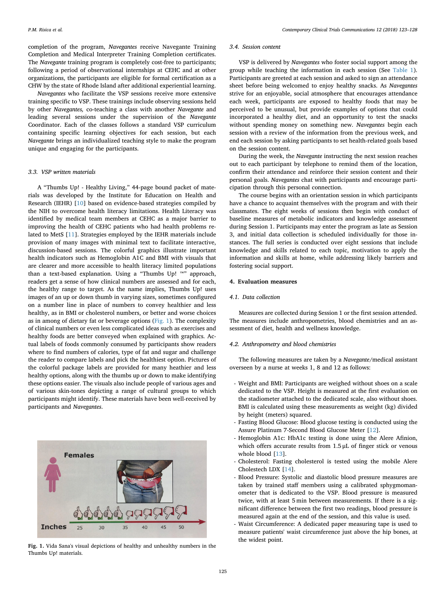completion of the program, *Navegantes* receive Navegante Training Completion and Medical Interpreter Training Completion certificates. The *Navegante* training program is completely cost-free to participants; following a period of observational internships at CEHC and at other organizations, the participants are eligible for formal certification as a CHW by the state of Rhode Island after additional experiential learning.

*Navegantes* who facilitate the VSP sessions receive more extensive training specific to VSP. These trainings include observing sessions held by other *Navegantes,* co-teaching a class with another *Navegante* and leading several sessions under the supervision of the *Navegante* Coordinator. Each of the classes follows a standard VSP curriculum containing specific learning objectives for each session, but each *Navegante* brings an individualized teaching style to make the program unique and engaging for the participants.

#### *3.3. VSP written materials*

A "Thumbs Up! - Healthy Living," 44-page bound packet of materials was developed by the Institute for Education on Health and Research (IEHR) [[10\]](#page-6-8) based on evidence-based strategies compiled by the NIH to overcome health literacy limitations. Health Literacy was identified by medical team members at CEHC as a major barrier to improving the health of CEHC patients who had health problems related to MetS [[11\]](#page-6-9). Strategies employed by the IEHR materials include provision of many images with minimal text to facilitate interactive, discussion-based sessions. The colorful graphics illustrate important health indicators such as Hemoglobin A1C and BMI with visuals that are clearer and more accessible to health literacy limited populations than a text-based explanation. Using a "Thumbs Up! ™" approach, readers get a sense of how clinical numbers are assessed and for each, the healthy range to target. As the name implies, Thumbs Up! uses images of an up or down thumb in varying sizes, sometimes configured on a number line in place of numbers to convey healthier and less healthy, as in BMI or cholesterol numbers, or better and worse choices as in among of dietary fat or beverage options [\(Fig. 1](#page-3-0)). The complexity of clinical numbers or even less complicated ideas such as exercises and healthy foods are better conveyed when explained with graphics. Actual labels of foods commonly consumed by participants show readers where to find numbers of calories, type of fat and sugar and challenge the reader to compare labels and pick the healthiest option. Pictures of the colorful package labels are provided for many heathier and less healthy options, along with the thumbs up or down to make identifying these options easier. The visuals also include people of various ages and of various skin-tones depicting a range of cultural groups to which participants might identify. These materials have been well-received by participants and *Navegantes*.

<span id="page-3-0"></span>

#### *3.4. Session content*

VSP is delivered by *Navegantes* who foster social support among the group while teaching the information in each session (See [Table 1](#page-4-0)). Participants are greeted at each session and asked to sign an attendance sheet before being welcomed to enjoy healthy snacks. As *Navegantes* strive for an enjoyable, social atmosphere that encourages attendance each week, participants are exposed to healthy foods that may be perceived to be unusual, but provide examples of options that could incorporated a healthy diet, and an opportunity to test the snacks without spending money on something new. *Navegantes* begin each session with a review of the information from the previous week, and end each session by asking participants to set health-related goals based on the session content.

During the week, the *Navegante* instructing the next session reaches out to each participant by telephone to remind them of the location, confirm their attendance and reinforce their session content and their personal goals. *Navegantes* chat with participants and encourage participation through this personal connection.

The course begins with an orientation session in which participants have a chance to acquaint themselves with the program and with their classmates. The eight weeks of sessions then begin with conduct of baseline measures of metabolic indicators and knowledge assessment during Session 1. Participants may enter the program as late as Session 3, and initial data collection is scheduled individually for those instances. The full series is conducted over eight sessions that include knowledge and skills related to each topic, motivation to apply the information and skills at home, while addressing likely barriers and fostering social support.

#### **4. Evaluation measures**

#### *4.1. Data collection*

Measures are collected during Session 1 or the first session attended. The measures include anthropometries, blood chemistries and an assessment of diet, health and wellness knowledge.

#### *4.2. Anthropometry and blood chemistries*

The following measures are taken by a *Navegante/*medical assistant overseen by a nurse at weeks 1, 8 and 12 as follows:

- Weight and BMI: Participants are weighed without shoes on a scale dedicated to the VSP. Height is measured at the first evaluation on the stadiometer attached to the dedicated scale, also without shoes. BMI is calculated using these measurements as weight (kg) divided by height (meters) squared.
- Fasting Blood Glucose: Blood glucose testing is conducted using the Assure Platinum 7-Second Blood Glucose Meter [[12\]](#page-6-10).
- Hemoglobin A1c: HbA1c testing is done using the Alere Afinion, which offers accurate results from 1.5 μL of finger stick or venous whole blood [\[13](#page-6-11)].
- Cholesterol: Fasting cholesterol is tested using the mobile Alere Cholestech LDX [\[14](#page-6-12)].
- Blood Pressure: Systolic and diastolic blood pressure measures are taken by trained staff members using a calibrated sphygmomanometer that is dedicated to the VSP. Blood pressure is measured twice, with at least 5 min between measurements. If there is a significant difference between the first two readings, blood pressure is measured again at the end of the session, and this value is used.
- Waist Circumference: A dedicated paper measuring tape is used to measure patients' waist circumference just above the hip bones, at the widest point.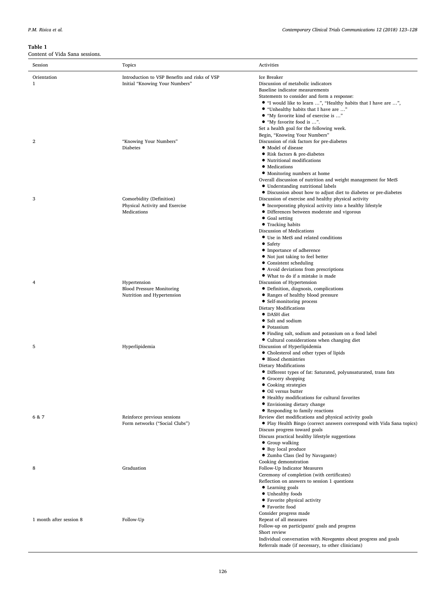#### <span id="page-4-0"></span>**Table 1**

Content of Vida Sana sessions.

| Session                 | Topics                                        | Activities                                                             |  |  |  |
|-------------------------|-----------------------------------------------|------------------------------------------------------------------------|--|--|--|
| Orientation             | Introduction to VSP Benefits and risks of VSP | Ice Breaker                                                            |  |  |  |
| 1                       | Initial "Knowing Your Numbers"                | Discussion of metabolic indicators                                     |  |  |  |
|                         |                                               | Baseline indicator measurements                                        |  |  |  |
|                         |                                               | Statements to consider and form a response:                            |  |  |  |
|                         |                                               | • "I would like to learn ", "Healthy habits that I have are ",         |  |  |  |
|                         |                                               | • "Unhealthy habits that I have are "                                  |  |  |  |
|                         |                                               | • "My favorite kind of exercise is "                                   |  |  |  |
|                         |                                               | • "My favorite food is ".                                              |  |  |  |
|                         |                                               | Set a health goal for the following week.                              |  |  |  |
|                         |                                               | Begin, "Knowing Your Numbers"                                          |  |  |  |
| 2                       | "Knowing Your Numbers"                        | Discussion of risk factors for pre-diabetes                            |  |  |  |
|                         | Diabetes                                      | • Model of disease                                                     |  |  |  |
|                         |                                               | • Risk factors & pre-diabetes                                          |  |  |  |
|                         |                                               | • Nutritional modifications                                            |  |  |  |
|                         |                                               | • Medications                                                          |  |  |  |
|                         |                                               | • Monitoring numbers at home                                           |  |  |  |
|                         |                                               | Overall discussion of nutrition and weight management for MetS         |  |  |  |
|                         |                                               | • Understanding nutritional labels                                     |  |  |  |
|                         |                                               | • Discussion about how to adjust diet to diabetes or pre-diabetes      |  |  |  |
| 3                       | Comorbidity (Definition)                      | Discussion of exercise and healthy physical activity                   |  |  |  |
|                         |                                               |                                                                        |  |  |  |
|                         | Physical Activity and Exercise                | • Incorporating physical activity into a healthy lifestyle             |  |  |  |
|                         | Medications                                   | • Differences between moderate and vigorous                            |  |  |  |
|                         |                                               | • Goal setting                                                         |  |  |  |
|                         |                                               | • Tracking habits                                                      |  |  |  |
|                         |                                               | Discussion of Medications                                              |  |  |  |
|                         |                                               | • Use in MetS and related conditions                                   |  |  |  |
|                         |                                               | $\bullet$ Safety                                                       |  |  |  |
|                         |                                               | • Importance of adherence                                              |  |  |  |
|                         |                                               | • Not just taking to feel better                                       |  |  |  |
|                         |                                               | • Consistent scheduling                                                |  |  |  |
|                         |                                               | • Avoid deviations from prescriptions                                  |  |  |  |
|                         |                                               | • What to do if a mistake is made                                      |  |  |  |
| 4                       | Hypertension                                  | Discussion of Hypertension                                             |  |  |  |
|                         | <b>Blood Pressure Monitoring</b>              | • Definition, diagnosis, complications                                 |  |  |  |
|                         | Nutrition and Hypertension                    | • Ranges of healthy blood pressure                                     |  |  |  |
|                         |                                               | • Self-monitoring process                                              |  |  |  |
|                         |                                               | Dietary Modifications                                                  |  |  |  |
|                         |                                               | • DASH diet                                                            |  |  |  |
|                         |                                               | • Salt and sodium                                                      |  |  |  |
|                         |                                               | • Potassium                                                            |  |  |  |
|                         |                                               | • Finding salt, sodium and potassium on a food label                   |  |  |  |
|                         |                                               | • Cultural considerations when changing diet                           |  |  |  |
|                         |                                               |                                                                        |  |  |  |
| 5                       | Hyperlipidemia                                | Discussion of Hyperlipidemia                                           |  |  |  |
|                         |                                               | • Cholesterol and other types of lipids                                |  |  |  |
|                         |                                               | • Blood chemistries                                                    |  |  |  |
|                         |                                               | Dietary Modifications                                                  |  |  |  |
|                         |                                               | • Different types of fat: Saturated, polyunsaturated, trans fats       |  |  |  |
|                         |                                               | • Grocery shopping                                                     |  |  |  |
|                         |                                               | • Cooking strategies                                                   |  |  |  |
|                         |                                               | ● Oil versus butter                                                    |  |  |  |
|                         |                                               | • Healthy modifications for cultural favorites                         |  |  |  |
|                         |                                               | • Envisioning dietary change                                           |  |  |  |
|                         |                                               | • Responding to family reactions                                       |  |  |  |
| 6 & 7                   | Reinforce previous sessions                   | Review diet modifications and physical activity goals                  |  |  |  |
|                         | Form networks ("Social Clubs")                | • Play Health Bingo (correct answers correspond with Vida Sana topics) |  |  |  |
|                         |                                               | Discuss progress toward goals                                          |  |  |  |
|                         |                                               | Discuss practical healthy lifestyle suggestions                        |  |  |  |
|                         |                                               | • Group walking                                                        |  |  |  |
|                         |                                               | • Buy local produce                                                    |  |  |  |
|                         |                                               | • Zumba Class (led by Navagante)                                       |  |  |  |
|                         |                                               | Cooking demonstration                                                  |  |  |  |
| 8                       | Graduation                                    | Follow-Up Indicator Measures                                           |  |  |  |
|                         |                                               | Ceremony of completion (with certificates)                             |  |  |  |
|                         |                                               | Reflection on answers to session 1 questions                           |  |  |  |
|                         |                                               | • Learning goals                                                       |  |  |  |
|                         |                                               | • Unhealthy foods                                                      |  |  |  |
|                         |                                               | • Favorite physical activity                                           |  |  |  |
|                         |                                               | • Favorite food                                                        |  |  |  |
|                         |                                               |                                                                        |  |  |  |
|                         |                                               | Consider progress made                                                 |  |  |  |
| 1 month after session 8 | Follow-Up                                     | Repeat of all measures                                                 |  |  |  |
|                         |                                               | Follow-up on participants' goals and progress                          |  |  |  |
|                         |                                               | Short review                                                           |  |  |  |
|                         |                                               | Individual conversation with Navegantes about progress and goals       |  |  |  |
|                         |                                               | Referrals made (if necessary, to other clinicians)                     |  |  |  |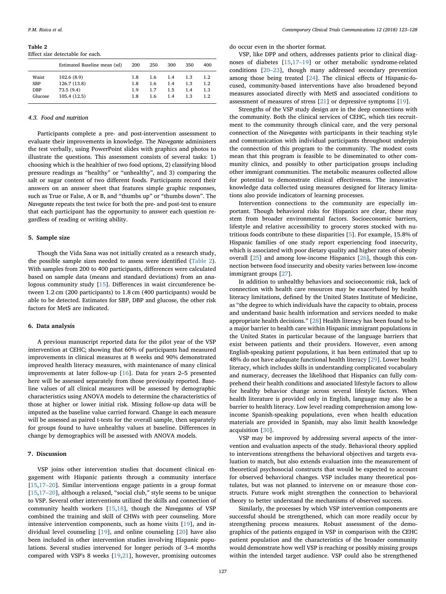<span id="page-5-0"></span>**Table 2**

| Effect size detectable for each. |
|----------------------------------|
|----------------------------------|

|            | Estimated Baseline mean (sd) | 200 | 250 | 300 | 350 | 400 |
|------------|------------------------------|-----|-----|-----|-----|-----|
| Waist      | 102.6(8.9)                   | 1.8 | 1.6 | 1.4 | 1.3 | 1.2 |
| <b>SBP</b> | 126.7 (13.8)                 | 1.8 | 1.6 | 1.4 | 1.3 | 1.2 |
| <b>DBP</b> | 73.5(9.4)                    | 1.9 | 1.7 | 1.5 | 14  | 1.3 |
| Glucose    | 105.4 (12.5)                 | 1.8 | 1.6 | 14  | 1.3 | 1.2 |

#### *4.3. Food and nutrition*

Participants complete a pre- and post-intervention assessment to evaluate their improvements in knowledge. The *Navegante* administers the test verbally, using PowerPoint slides with graphics and photos to illustrate the questions. This assessment consists of several tasks: 1) choosing which is the healthier of two food options, 2) classifying blood pressure readings as "healthy" or "unhealthy", and 3) comparing the salt or sugar content of two different foods. Participants record their answers on an answer sheet that features simple graphic responses, such as True or False, A or B, and "thumbs up" or "thumbs down". The *Navegante* repeats the test twice for both the pre- and post-test to ensure that each participant has the opportunity to answer each question regardless of reading or writing ability.

#### **5. Sample size**

Though the Vida Sana was not initially created as a research study, the possible sample sizes needed to assess were identified [\(Table 2](#page-5-0)). With samples from 200 to 400 participants, differences were calculated based on sample data (means and standard deviations) from an analogous community study [[15\]](#page-6-13). Differences in waist circumference between 1.2 cm (200 participants) to 1.8 cm (400 participants) would be able to be detected. Estimates for SBP, DBP and glucose, the other risk factors for MetS are indicated.

#### **6. Data analysis**

A previous manuscript reported data for the pilot year of the VSP intervention at CEHC; showing that 60% of participants had measured improvements in clinical measures at 8 weeks and 90% demonstrated improved health literacy measures, with maintenance of many clinical improvements at later follow-up [\[16](#page-6-14)]. Data for years 2–5 presented here will be assessed separately from those previously reported. Baseline values of all clinical measures will be assessed by demographic characteristics using ANOVA models to determine the characteristics of those at higher or lower initial risk. Missing follow-up data will be imputed as the baseline value carried forward. Change in each measure will be assessed as paired t-tests for the overall sample, then separately for groups found to have unhealthy values at baseline. Differences in change by demographics will be assessed with ANOVA models.

#### **7. Discussion**

VSP joins other intervention studies that document clinical engagement with Hispanic patients through a community interface [[15](#page-6-13)[,17–20](#page-6-15)]. Similar interventions engage patients in a group format [[15](#page-6-13)[,17–20](#page-6-15)], although a relaxed, "social club," style seems to be unique to VSP. Several other interventions utilized the skills and connection of community health workers [\[15](#page-6-13)[,18](#page-6-16)], though the *Navegantes* of VSP combined the training and skill of CHWs with peer counseling. More intensive intervention components, such as home visits [[19\]](#page-6-17), and individual level counseling [[19\]](#page-6-17), and online counseling [[20\]](#page-6-18) have also been included in other intervention studies involving Hispanic populations. Several studies intervened for longer periods of 3–4 months compared with VSP's 8 weeks [\[19](#page-6-17)[,21](#page-6-19)], however, promising outcomes do occur even in the shorter format.

VSP, like DPP and others, addresses patients prior to clinical diagnoses of diabetes [[15](#page-6-13),[17–19\]](#page-6-15) or other metabolic syndrome-related conditions [[20–23\]](#page-6-18), though many addressed secondary prevention among those being treated [\[24](#page-6-20)]. The clinical effects of Hispanic-focused, community-based interventions have also broadened beyond measures associated directly with MetS and associated conditions to assessment of measures of stress [[21\]](#page-6-19) or depressive symptoms [[19\]](#page-6-17).

Strengths of the VSP study design are in the deep connections with the community. Both the clinical services of CEHC, which ties recruitment to the community through clinical care, and the very personal connection of the *Navegantes* with participants in their teaching style and communication with individual participants throughout underpin the connection of this program to the community. The modest costs mean that this program is feasible to be disseminated to other community clinics, and possibly to other participation groups including other immigrant communities. The metabolic measures collected allow for potential to demonstrate clinical effectiveness. The innovative knowledge data collected using measures designed for literacy limitations also provide indicators of learning processes.

Intervention connections to the community are especially important. Though behavioral risks for Hispanics are clear, these may stem from broader environmental factors. Socioeconomic barriers, lifestyle and relative accessibility to grocery stores stocked with nutritious foods contribute to these disparities [[5](#page-6-21)]. For example, 15.8% of Hispanic families of one study report experiencing food insecurity, which is associated with poor dietary quality and higher rates of obesity overall [\[25](#page-6-22)] and among low-income Hispanics [[26\]](#page-6-23), though this connection between food insecurity and obesity varies between low-income immigrant groups [\[27](#page-6-24)].

In addition to unhealthy behaviors and socioeconomic risk, lack of connection with health care resources may be exacerbated by health literacy limitations, defined by the United States Institute of Medicine, as "the degree to which individuals have the capacity to obtain, process and understand basic health information and services needed to make appropriate health decisions." [\[28](#page-6-25)] Health literacy has been found to be a major barrier to health care within Hispanic immigrant populations in the United States in particular because of the language barriers that exist between patients and their providers. However, even among English-speaking patient populations, it has been estimated that up to 48% do not have adequate functional health literacy [\[29](#page-6-26)]. Lower health literacy, which includes skills in understanding complicated vocabulary and numeracy, decreases the likelihood that Hispanics can fully comprehend their health conditions and associated lifestyle factors to allow for healthy behavior change across several lifestyle factors. When health literature is provided only in English, language may also be a barrier to health literacy. Low level reading comprehension among lowincome Spanish-speaking populations, even when health education materials are provided in Spanish, may also limit health knowledge acquisition [\[30](#page-6-27)].

VSP may be improved by addressing several aspects of the intervention and evaluation aspects of the study. Behavioral theory applied to interventions strengthens the behavioral objectives and targets evaluation to match, but also extends evaluation into the measurement of theoretical psychosocial constructs that would be expected to account for observed behavioral changes. VSP includes many theoretical postulates, but was not planned to intervene on or measure those constructs. Future work might strengthen the connection to behavioral theory to better understand the mechanisms of observed success.

Similarly, the processes by which VSP intervention components are successful should be strengthened, which can more readily occur by strengthening process measures. Robust assessment of the demographics of the patients engaged in VSP in comparison with the CEHC patient population and the characteristics of the broader community would demonstrate how well VSP is reaching or possibly missing groups within the intended target audience. VSP could also be strengthened